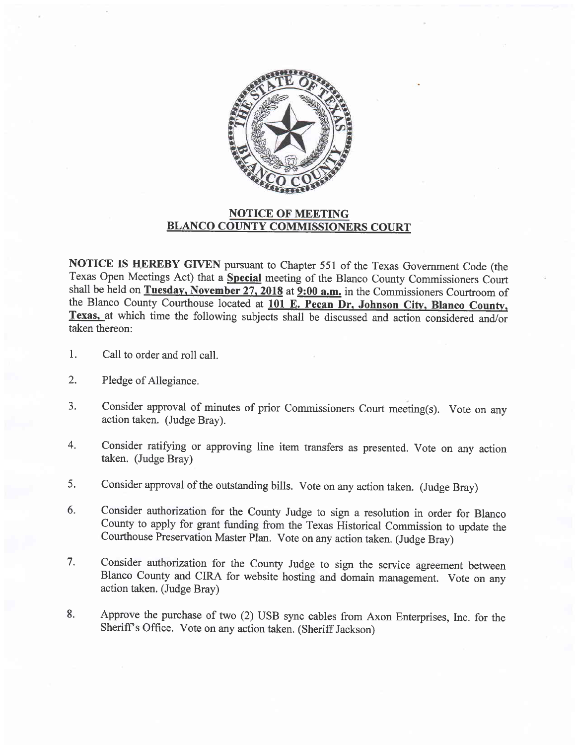

## NOTICE OF MEETING BLANCO COUNTY COMMISSIONERS COURT

NOTICE IS HEREBY GIVEN pursuant to Chapter 551 of the Texas Government Code (the Texas Open Meetings Act) that a Special meeting of the Blanco County Commissioners Court shall be held on Tuesday, November  $27$ ,  $2018$  at  $9:00$  a.m. in the Commissioners Courtroom of the Blanco County Courthouse located at 101 E. Pecan Dr, Johnson City, Blanco County, Texas, at which time the following subjects shall be discussed and action considered and/or taken thereon:

- Call to order and roll call. l.
- Pledge of Allegiance. 2.
- Consider approval of minutes of prior Commissioners Court meeting(s). Vote on any action taken. (Judge Bray). 3.
- Consider ratifying or approving line item transfers as presented. Vote on any action taken. (Judge Bray) 4.
- Consider approval of the outstanding bills. Vote on any action taken. (Judge Bray) 5.
- Consider authorization for the County Judge to sign a resolution in order for Blanco County to apply for grant firnding from the Texas Historical Commission to update the Courthouse Preservation Master Plan. vote on any action taken. (Judge Bray) 6.
- Consider authorization for the County Judge to sign the service agreement between Blanco County and CIRA for website hosting and domain management. Vote on any action taken. (Judge Bray) 7.
- Approve the purchase of two (2) USB sync cables from Axon Enterprises, Inc. for the Sheriff s Office. Vote on any action taken. (Sheriff Jackson) 8.